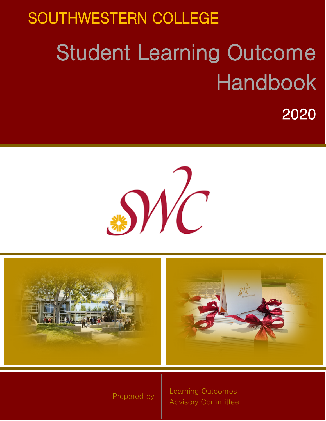# SOUTHWESTERN COLLEGE Student Learning Outcome Handbook

2020





1999 - Andrej Sterne Breeze († 1999)<br>1999 - Andrej Sterne Breeze († 1999)<br>1999 - Prepared by Sterne Breeze († 1999)

Learning Outcomes Advisory Committee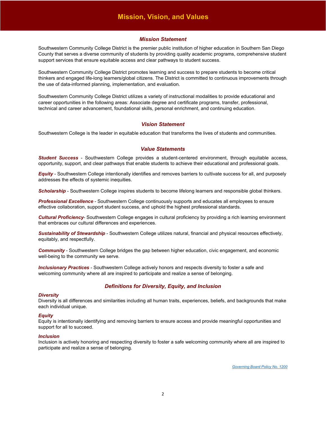# **Mission, Vision, and Values**

#### *Mission Statement*

Southwestern Community College District is the premier public institution of higher education in Southern San Diego County that serves a diverse community of students by providing quality academic programs, comprehensive student support services that ensure equitable access and clear pathways to student success.

Southwestern Community College District promotes learning and success to prepare students to become critical thinkers and engaged life-long learners/global citizens. The District is committed to continuous improvements through the use of data-informed planning, implementation, and evaluation.

Southwestern Community College District utilizes a variety of instructional modalities to provide educational and career opportunities in the following areas: Associate degree and certificate programs, transfer, professional, technical and career advancement, foundational skills, personal enrichment, and continuing education.

### *Vision Statement*

Southwestern College is the leader in equitable education that transforms the lives of students and communities.

### *Value Statements*

*Student Success* - Southwestern College provides a student-centered environment, through equitable access, opportunity, support, and clear pathways that enable students to achieve their educational and professional goals.

*Equity* - Southwestern College intentionally identifies and removes barriers to cultivate success for all, and purposely addresses the effects of systemic inequities.

**Scholarship** - Southwestern College inspires students to become lifelong learners and responsible global thinkers.

*Professional Excellence* - Southwestern College continuously supports and educates all employees to ensure effective collaboration, support student success, and uphold the highest professional standards.

*Cultural Proficiency*- Southwestern College engages in cultural proficiency by providing a rich learning environment that embraces our cultural differences and experiences.

*Sustainability of Stewardship* - Southwestern College utilizes natural, financial and physical resources effectively, equitably, and respectfully.

**Community** - Southwestern College bridges the gap between higher education, civic engagement, and economic well-being to the community we serve.

*Inclusionary Practices* - Southwestern College actively honors and respects diversity to foster a safe and welcoming community where all are inspired to participate and realize a sense of belonging.

## *Definitions for Diversity, Equity, and Inclusion*

#### *Diversity*

Diversity is all differences and similarities including all human traits, experiences, beliefs, and backgrounds that make each individual unique.

#### *Equity*

Equity is intentionally identifying and removing barriers to ensure access and provide meaningful opportunities and support for all to succeed.

#### *Inclusion*

Inclusion is actively honoring and respecting diversity to foster a safe welcoming community where all are inspired to participate and realize a sense of belonging.

*[Governing Board Policy No. 1200](https://go.boarddocs.com/ca/swccd/Board.nsf/files/BDGV2V7E97AF/$file/1200%20-%20(BP)%20Institutional%20Mission%2C%20Vision%20%26%20Values.pdf)*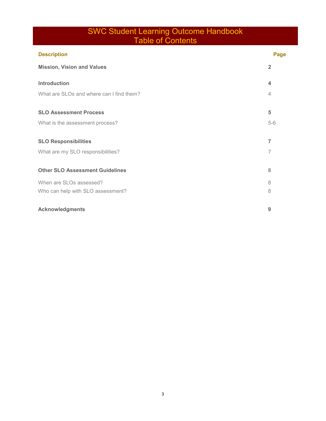# SWC Student Learning Outcome Handbook Table of Contents

| <b>Description</b>                       | Page           |
|------------------------------------------|----------------|
| <b>Mission, Vision and Values</b>        | $\overline{2}$ |
| Introduction                             | 4              |
| What are SLOs and where can I find them? | $\overline{4}$ |
| <b>SLO Assessment Process</b>            | 5              |
| What is the assessment process?          | $5-6$          |
| <b>SLO Responsibilities</b>              | 7              |
| What are my SLO responsibilities?        | 7              |
| <b>Other SLO Assessment Guidelines</b>   | 8              |
| When are SLOs assessed?                  | 8              |
| Who can help with SLO assessment?        | 8              |
| <b>Acknowledgments</b>                   | 9              |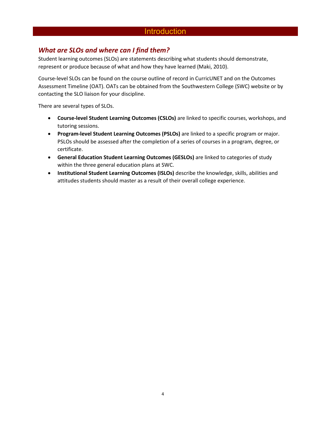# **Introduction**

# *What are SLOs and where can I find them?*

Student learning outcomes (SLOs) are statements describing what students should demonstrate, represent or produce because of what and how they have learned (Maki, 2010).

Course-level SLOs can be found on the course outline of record in CurricUNET and on the Outcomes Assessment Timeline (OAT). OATs can be obtained from the Southwestern College (SWC) website or by contacting the SLO liaison for your discipline.

There are several types of SLOs.

- **Course-level Student Learning Outcomes (CSLOs)** are linked to specific courses, workshops, and tutoring sessions.
- **Program-level Student Learning Outcomes (PSLOs)** are linked to a specific program or major. PSLOs should be assessed after the completion of a series of courses in a program, degree, or certificate.
- **General Education Student Learning Outcomes (GESLOs)** are linked to categories of study within the three general education plans at SWC.
- **Institutional Student Learning Outcomes (ISLOs)** describe the knowledge, skills, abilities and attitudes students should master as a result of their overall college experience.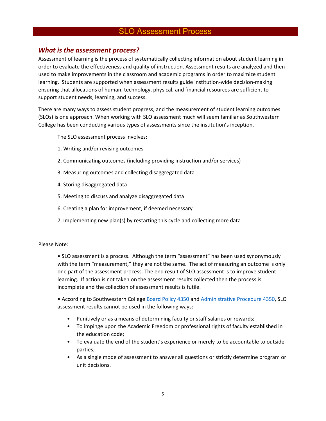# SLO Assessment Process

## *What is the assessment process?*

Assessment of learning is the process of systematically collecting information about student learning in order to evaluate the effectiveness and quality of instruction. Assessment results are analyzed and then used to make improvements in the classroom and academic programs in order to maximize student learning. Students are supported when assessment results guide institution-wide decision-making ensuring that allocations of human, technology, physical, and financial resources are sufficient to support student needs, learning, and success.

There are many ways to assess student progress, and the measurement of student learning outcomes (SLOs) is one approach. When working with SLO assessment much will seem familiar as Southwestern College has been conducting various types of assessments since the institution's inception.

The SLO assessment process involves:

- 1. Writing and/or revising outcomes
- 2. Communicating outcomes (including providing instruction and/or services)
- 3. Measuring outcomes and collecting disaggregated data
- 4. Storing disaggregated data
- 5. Meeting to discuss and analyze disaggregated data
- 6. Creating a plan for improvement, if deemed necessary
- 7. Implementing new plan(s) by restarting this cycle and collecting more data

## Please Note:

• SLO assessment is a process. Although the term "assessment" has been used synonymously with the term "measurement," they are not the same. The act of measuring an outcome is only one part of the assessment process. The end result of SLO assessment is to improve student learning. If action is not taken on the assessment results collected then the process is incomplete and the collection of assessment results is futile.

• According to Southwestern College [Board Policy 4350](https://go.boarddocs.com/ca/swccd/Board.nsf/files/AVZN475D1AF4/$file/4350%20-%20(BP)%20Student%20Learning%20Outcomes%20and%20Administrative%20Unit%20Outcomes%20Assessment.pdf) and [Administrative Procedure 4350,](https://go.boarddocs.com/ca/swccd/Board.nsf/files/AV9TXB76E76C/$file/4350%20-%20(AP)%20Student%20Learning%20Outcomes%20and%20Administrative%20Unit%20Outcomes%20Assessment.pdf) SLO assessment results cannot be used in the following ways:

- Punitively or as a means of determining faculty or staff salaries or rewards;
- To impinge upon the Academic Freedom or professional rights of faculty established in the education code;
- To evaluate the end of the student's experience or merely to be accountable to outside parties;
- As a single mode of assessment to answer all questions or strictly determine program or unit decisions.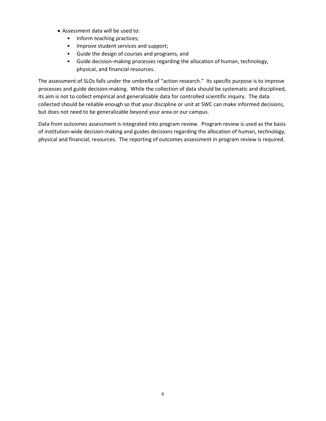- Assessment data will be used to:
	- Inform teaching practices;
	- Improve student services and support;
	- Guide the design of courses and programs, and
	- Guide decision-making processes regarding the allocation of human, technology, physical, and financial resources.

The assessment of SLOs falls under the umbrella of "action research." Its specific purpose is to improve processes and guide decision-making. While the collection of data should be systematic and disciplined, its aim is not to collect empirical and generalizable data for controlled scientific inquiry. The data collected should be reliable enough so that your discipline or unit at SWC can make informed decisions, but does not need to be generalizable beyond your area or our campus.

Data from outcomes assessment is integrated into program review. Program review is used as the basis of institution-wide decision-making and guides decisions regarding the allocation of human, technology, physical and financial, resources. The reporting of outcomes assessment in program review is required.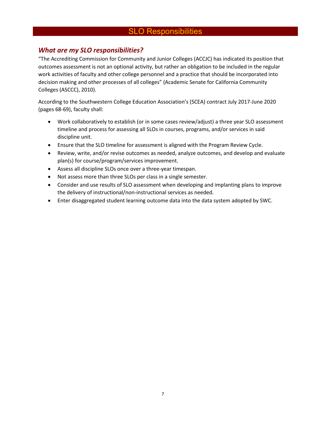# SLO Responsibilities

# *What are my SLO responsibilities?*

"The Accrediting Commission for Community and Junior Colleges (ACCJC) has indicated its position that outcomes assessment is not an optional activity, but rather an obligation to be included in the regular work activities of faculty and other college personnel and a practice that should be incorporated into decision making and other processes of all colleges" (Academic Senate for California Community Colleges (ASCCC), 2010).

According to the Southwestern College Education Association's (SCEA) contract July 2017-June 2020 (pages 68-69), faculty shall:

- Work collaboratively to establish (or in some cases review/adjust) a three year SLO assessment timeline and process for assessing all SLOs in courses, programs, and/or services in said discipline unit.
- Ensure that the SLO timeline for assessment is aligned with the Program Review Cycle.
- Review, write, and/or revise outcomes as needed, analyze outcomes, and develop and evaluate plan(s) for course/program/services improvement.
- Assess all discipline SLOs once over a three-year timespan.
- Not assess more than three SLOs per class in a single semester.
- Consider and use results of SLO assessment when developing and implanting plans to improve the delivery of instructional/non-instructional services as needed.
- Enter disaggregated student learning outcome data into the data system adopted by SWC.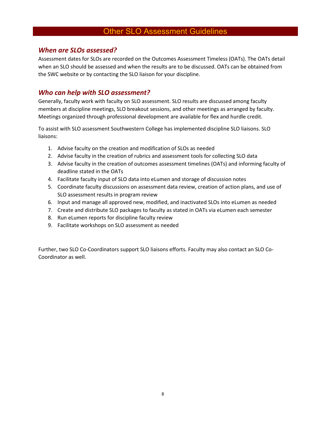# Other SLO Assessment Guidelines

## *When are SLOs assessed?*

Assessment dates for SLOs are recorded on the Outcomes Assessment Timeless (OATs). The OATs detail when an SLO should be assessed and when the results are to be discussed. OATs can be obtained from the SWC website or by contacting the SLO liaison for your discipline.

# *Who can help with SLO assessment?*

Generally, faculty work with faculty on SLO assessment. SLO results are discussed among faculty members at discipline meetings, SLO breakout sessions, and other meetings as arranged by faculty. Meetings organized through professional development are available for flex and hurdle credit.

To assist with SLO assessment Southwestern College has implemented discipline SLO liaisons. SLO liaisons:

- 1. Advise faculty on the creation and modification of SLOs as needed
- 2. Advise faculty in the creation of rubrics and assessment tools for collecting SLO data
- 3. Advise faculty in the creation of outcomes assessment timelines (OATs) and informing faculty of deadline stated in the OATs
- 4. Facilitate faculty input of SLO data into eLumen and storage of discussion notes
- 5. Coordinate faculty discussions on assessment data review, creation of action plans, and use of SLO assessment results in program review
- 6. Input and manage all approved new, modified, and inactivated SLOs into eLumen as needed
- 7. Create and distribute SLO packages to faculty as stated in OATs via eLumen each semester
- 8. Run eLumen reports for discipline faculty review
- 9. Facilitate workshops on SLO assessment as needed

Further, two SLO Co-Coordinators support SLO liaisons efforts. Faculty may also contact an SLO Co-Coordinator as well.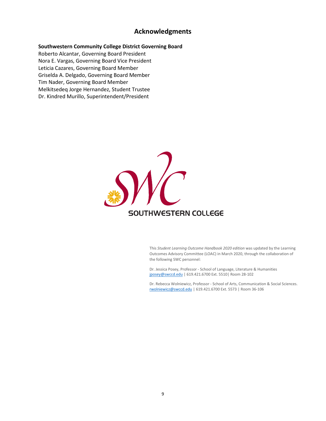## **Acknowledgments**

## **Southwestern Community College District Governing Board**

Roberto Alcantar, Governing Board President Nora E. Vargas, Governing Board Vice President Leticia Cazares, Governing Board Member Griselda A. Delgado, Governing Board Member Tim Nader, Governing Board Member Melkitsedeq Jorge Hernandez, Student Trustee Dr. Kindred Murillo, Superintendent/President



This *Student Learning Outcome Handbook 2020 edition* was updated by the Learning Outcomes Advisory Committee (LOAC) in March 2020, through the collaboration of the following SWC personnel:

Dr. Jessica Posey, Professor - School of Language, Literature & Humanities [jposey@swccd.edu](mailto:jposey@swccd.edu) | 619.421.6700 Ext. 5510| Room 28-102

Dr. Rebecca Wolniewicz, Professor - School of Arts, Communication & Social Sciences. [rwolniewicz@swccd.edu](mailto:rwolniewicz@swccd.edu) | 619.421.6700 Ext. 5573 | Room 36-106